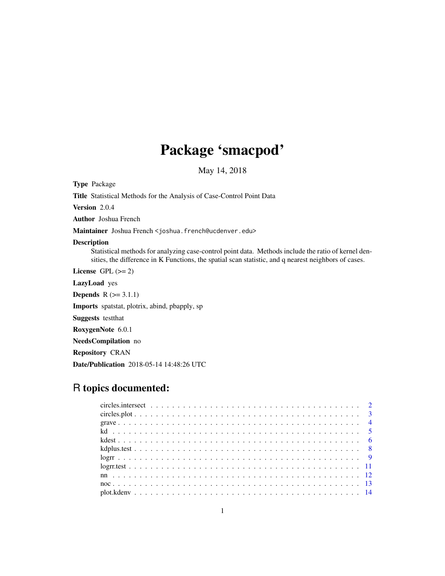# Package 'smacpod'

May 14, 2018

<span id="page-0-0"></span>Type Package

Title Statistical Methods for the Analysis of Case-Control Point Data

Version 2.0.4

Author Joshua French

Maintainer Joshua French <joshua.french@ucdenver.edu>

#### Description

Statistical methods for analyzing case-control point data. Methods include the ratio of kernel densities, the difference in K Functions, the spatial scan statistic, and q nearest neighbors of cases.

License GPL  $(>= 2)$ 

LazyLoad yes

**Depends**  $R$  ( $>= 3.1.1$ )

Imports spatstat, plotrix, abind, pbapply, sp

Suggests testthat

RoxygenNote 6.0.1

NeedsCompilation no

Repository CRAN

Date/Publication 2018-05-14 14:48:26 UTC

# R topics documented: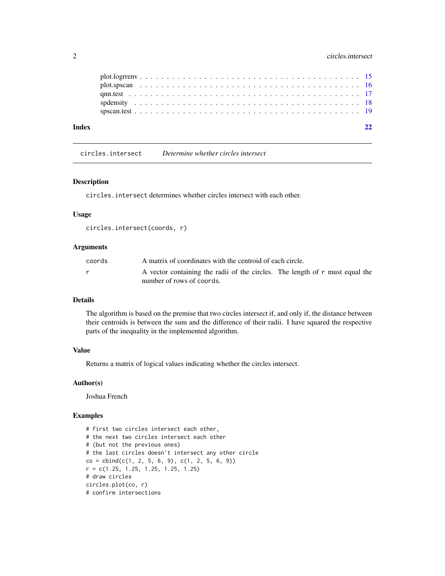<span id="page-1-0"></span>

| Index |  |  |  |  |  |  |  |  |  |  |  |  |  |  |  |  |  |  |  |  |  |
|-------|--|--|--|--|--|--|--|--|--|--|--|--|--|--|--|--|--|--|--|--|--|
|       |  |  |  |  |  |  |  |  |  |  |  |  |  |  |  |  |  |  |  |  |  |
|       |  |  |  |  |  |  |  |  |  |  |  |  |  |  |  |  |  |  |  |  |  |
|       |  |  |  |  |  |  |  |  |  |  |  |  |  |  |  |  |  |  |  |  |  |
|       |  |  |  |  |  |  |  |  |  |  |  |  |  |  |  |  |  |  |  |  |  |
|       |  |  |  |  |  |  |  |  |  |  |  |  |  |  |  |  |  |  |  |  |  |

circles.intersect *Determine whether circles intersect*

#### Description

circles.intersect determines whether circles intersect with each other.

#### Usage

```
circles.intersect(coords, r)
```
# Arguments

| coords | A matrix of coordinates with the centroid of each circle.                                                 |
|--------|-----------------------------------------------------------------------------------------------------------|
|        | A vector containing the radii of the circles. The length of r must equal the<br>number of rows of coords. |

## Details

The algorithm is based on the premise that two circles intersect if, and only if, the distance between their centroids is between the sum and the difference of their radii. I have squared the respective parts of the inequality in the implemented algorithm.

# Value

Returns a matrix of logical values indicating whether the circles intersect.

# Author(s)

Joshua French

```
# first two circles intersect each other,
# the next two circles intersect each other
# (but not the previous ones)
# the last circles doesn't intersect any other circle
co = cbind(c(1, 2, 5, 6, 9), c(1, 2, 5, 6, 9))r = c(1.25, 1.25, 1.25, 1.25, 1.25)# draw circles
circles.plot(co, r)
# confirm intersections
```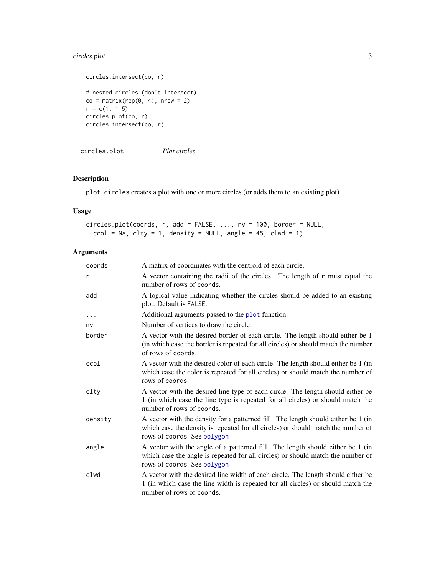# <span id="page-2-0"></span>circles.plot 3

```
circles.intersect(co, r)
# nested circles (don't intersect)
co = matrix(rep(\emptyset, 4), nrow = 2)r = c(1, 1.5)circles.plot(co, r)
circles.intersect(co, r)
```
circles.plot *Plot circles*

# Description

plot.circles creates a plot with one or more circles (or adds them to an existing plot).

#### Usage

```
circles.plot(coords, r, add = FALSE, ..., nv = 100, border = NULL,
 ccol = NA, clty = 1, density = NULL, angle = 45, clwd = 1)
```
# Arguments

| coords    | A matrix of coordinates with the centroid of each circle.                                                                                                                                             |
|-----------|-------------------------------------------------------------------------------------------------------------------------------------------------------------------------------------------------------|
| r         | A vector containing the radii of the circles. The length of r must equal the<br>number of rows of coords.                                                                                             |
| add       | A logical value indicating whether the circles should be added to an existing<br>plot. Default is FALSE.                                                                                              |
| $\ddotsc$ | Additional arguments passed to the plot function.                                                                                                                                                     |
| nv        | Number of vertices to draw the circle.                                                                                                                                                                |
| border    | A vector with the desired border of each circle. The length should either be 1<br>(in which case the border is repeated for all circles) or should match the number<br>of rows of coords.             |
| ccol      | A vector with the desired color of each circle. The length should either be 1 (in<br>which case the color is repeated for all circles) or should match the number of<br>rows of coords.               |
| clty      | A vector with the desired line type of each circle. The length should either be<br>1 (in which case the line type is repeated for all circles) or should match the<br>number of rows of coords.       |
| density   | A vector with the density for a patterned fill. The length should either be 1 (in<br>which case the density is repeated for all circles) or should match the number of<br>rows of coords. See polygon |
| angle     | A vector with the angle of a patterned fill. The length should either be 1 (in<br>which case the angle is repeated for all circles) or should match the number of<br>rows of coords. See polygon      |
| clwd      | A vector with the desired line width of each circle. The length should either be<br>1 (in which case the line width is repeated for all circles) or should match the<br>number of rows of coords.     |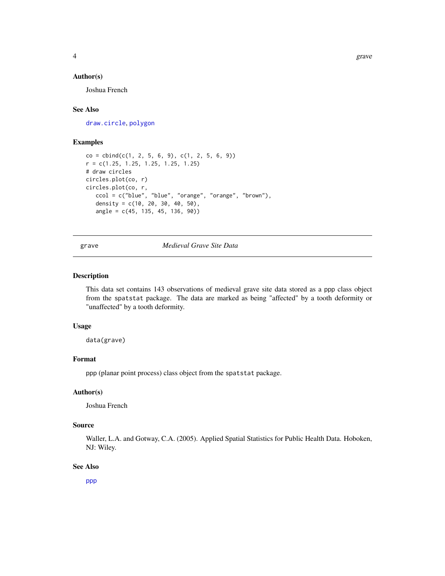#### <span id="page-3-0"></span>Author(s)

Joshua French

#### See Also

[draw.circle](#page-0-0), [polygon](#page-0-0)

#### Examples

```
co = cbind(c(1, 2, 5, 6, 9), c(1, 2, 5, 6, 9))r = c(1.25, 1.25, 1.25, 1.25, 1.25)
# draw circles
circles.plot(co, r)
circles.plot(co, r,
  ccol = c("blue", "blue", "orange", "orange", "brown"),
   density = c(10, 20, 30, 40, 50),
   angle = c(45, 135, 45, 136, 90))
```
### grave *Medieval Grave Site Data*

#### Description

This data set contains 143 observations of medieval grave site data stored as a ppp class object from the spatstat package. The data are marked as being "affected" by a tooth deformity or "unaffected" by a tooth deformity.

#### Usage

data(grave)

#### Format

ppp (planar point process) class object from the spatstat package.

#### Author(s)

Joshua French

#### Source

Waller, L.A. and Gotway, C.A. (2005). Applied Spatial Statistics for Public Health Data. Hoboken, NJ: Wiley.

#### See Also

[ppp](#page-0-0)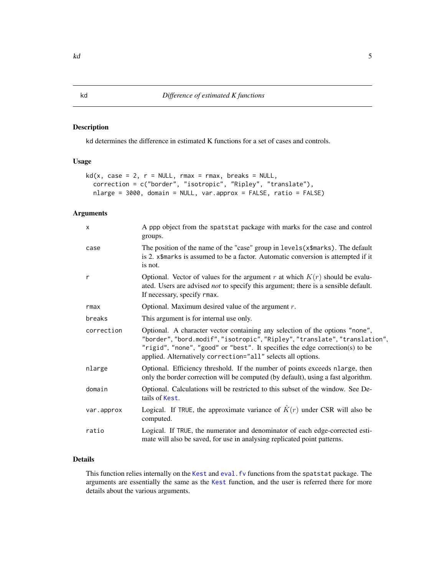<span id="page-4-0"></span>kd determines the difference in estimated K functions for a set of cases and controls.

#### Usage

```
kd(x, case = 2, r = NULL, rmax = rmax, breaks = NULL,correction = c("border", "isotropic", "Ripley", "translate"),
 nlarge = 3000, domain = NULL, var.approx = FALSE, ratio = FALSE)
```
# Arguments

| X          | A ppp object from the spatstat package with marks for the case and control<br>groups.                                                                                                                                                                                                                      |
|------------|------------------------------------------------------------------------------------------------------------------------------------------------------------------------------------------------------------------------------------------------------------------------------------------------------------|
| case       | The position of the name of the "case" group in levels (x\$marks). The default<br>is 2. x\$marks is assumed to be a factor. Automatic conversion is attempted if it<br>is not.                                                                                                                             |
| r          | Optional. Vector of values for the argument r at which $K(r)$ should be evalu-<br>ated. Users are advised <i>not</i> to specify this argument; there is a sensible default.<br>If necessary, specify rmax.                                                                                                 |
| rmax       | Optional. Maximum desired value of the argument $r$ .                                                                                                                                                                                                                                                      |
| breaks     | This argument is for internal use only.                                                                                                                                                                                                                                                                    |
| correction | Optional. A character vector containing any selection of the options "none",<br>"border", "bord.modif", "isotropic", "Ripley", "translate", "translation",<br>"rigid", "none", "good" or "best". It specifies the edge correction(s) to be<br>applied. Alternatively correction="all" selects all options. |
| nlarge     | Optional. Efficiency threshold. If the number of points exceeds nlarge, then<br>only the border correction will be computed (by default), using a fast algorithm.                                                                                                                                          |
| domain     | Optional. Calculations will be restricted to this subset of the window. See De-<br>tails of Kest.                                                                                                                                                                                                          |
| var.approx | Logical. If TRUE, the approximate variance of $\hat{K}(r)$ under CSR will also be<br>computed.                                                                                                                                                                                                             |
| ratio      | Logical. If TRUE, the numerator and denominator of each edge-corrected esti-<br>mate will also be saved, for use in analysing replicated point patterns.                                                                                                                                                   |
|            |                                                                                                                                                                                                                                                                                                            |

# Details

This function relies internally on the [Kest](#page-0-0) and [eval.fv](#page-0-0) functions from the spatstat package. The arguments are essentially the same as the [Kest](#page-0-0) function, and the user is referred there for more details about the various arguments.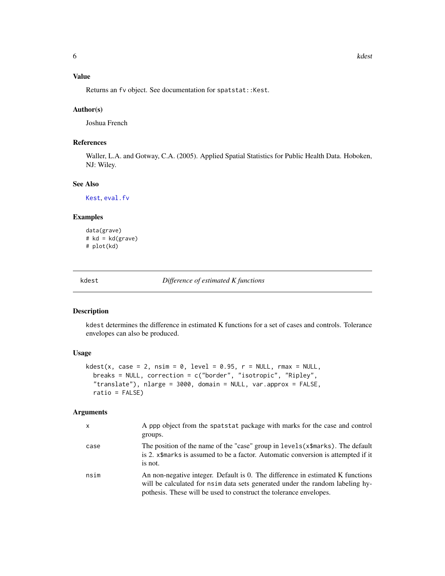# <span id="page-5-0"></span>Value

Returns an fv object. See documentation for spatstat::Kest.

#### Author(s)

Joshua French

# References

Waller, L.A. and Gotway, C.A. (2005). Applied Spatial Statistics for Public Health Data. Hoboken, NJ: Wiley.

# See Also

[Kest](#page-0-0), [eval.fv](#page-0-0)

#### Examples

```
data(grave)
# kd = kd(grave)
# plot(kd)
```
<span id="page-5-1"></span>kdest *Difference of estimated K functions*

# Description

kdest determines the difference in estimated K functions for a set of cases and controls. Tolerance envelopes can also be produced.

### Usage

```
kdest(x, case = 2, nsim = 0, level = 0.95, r = NULL, r = NULL,
 breaks = NULL, correction = c("border", "isotropic", "Ripley",
  "translate"), nlarge = 3000, domain = NULL, var.approx = FALSE,
 ratio = FALSE)
```
# Arguments

| X    | A ppp object from the spatstat package with marks for the case and control<br>groups.                                                                                                                                                 |
|------|---------------------------------------------------------------------------------------------------------------------------------------------------------------------------------------------------------------------------------------|
| case | The position of the name of the "case" group in levels (x\$marks). The default<br>is 2. x\$marks is assumed to be a factor. Automatic conversion is attempted if it<br>is not.                                                        |
| nsim | An non-negative integer. Default is 0. The difference in estimated K functions<br>will be calculated for nsim data sets generated under the random labeling hy-<br>pothesis. These will be used to construct the tolerance envelopes. |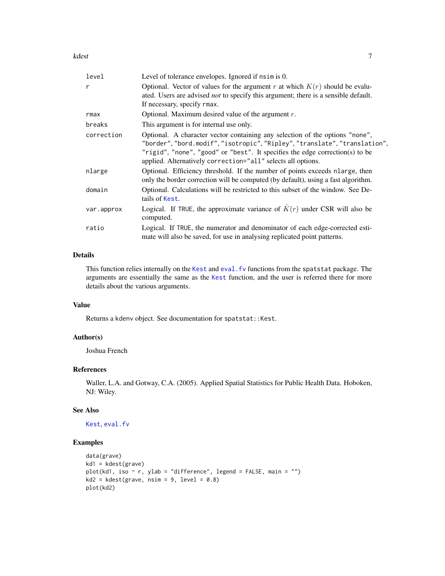<span id="page-6-0"></span>kdest to the control of the control of the control of the control of the control of the control of the control of the control of the control of the control of the control of the control of the control of the control of the

| level        | Level of tolerance envelopes. Ignored if nsimes 0.                                                                                                                                                                                                                                                    |
|--------------|-------------------------------------------------------------------------------------------------------------------------------------------------------------------------------------------------------------------------------------------------------------------------------------------------------|
| $\mathsf{r}$ | Optional. Vector of values for the argument r at which $K(r)$ should be evalu-<br>ated. Users are advised <i>not</i> to specify this argument; there is a sensible default.<br>If necessary, specify rmax.                                                                                            |
| rmax         | Optional. Maximum desired value of the argument $r$ .                                                                                                                                                                                                                                                 |
| breaks       | This argument is for internal use only.                                                                                                                                                                                                                                                               |
| correction   | Optional. A character vector containing any selection of the options "none",<br>"border","bord.modif","isotropic","Ripley","translate","translation",<br>"rigid", "none", "good" or "best". It specifies the edge correction(s) to be<br>applied. Alternatively correction="all" selects all options. |
| nlarge       | Optional. Efficiency threshold. If the number of points exceeds nlarge, then<br>only the border correction will be computed (by default), using a fast algorithm.                                                                                                                                     |
| domain       | Optional. Calculations will be restricted to this subset of the window. See De-<br>tails of Kest.                                                                                                                                                                                                     |
| var.approx   | Logical. If TRUE, the approximate variance of $\hat{K}(r)$ under CSR will also be<br>computed.                                                                                                                                                                                                        |
| ratio        | Logical. If TRUE, the numerator and denominator of each edge-corrected esti-<br>mate will also be saved, for use in analysing replicated point patterns.                                                                                                                                              |

# Details

This function relies internally on the [Kest](#page-0-0) and eval. fv functions from the spatstat package. The arguments are essentially the same as the [Kest](#page-0-0) function, and the user is referred there for more details about the various arguments.

# Value

Returns a kdenv object. See documentation for spatstat::Kest.

# Author(s)

Joshua French

#### References

Waller, L.A. and Gotway, C.A. (2005). Applied Spatial Statistics for Public Health Data. Hoboken, NJ: Wiley.

#### See Also

[Kest](#page-0-0), [eval.fv](#page-0-0)

```
data(grave)
kd1 = kdest(grave)
plot(kd1, iso ~ r, ylab = "difference", legend = FALSE, main = "")
kd2 = kdest(grave, nsim = 9, level = 0.8)plot(kd2)
```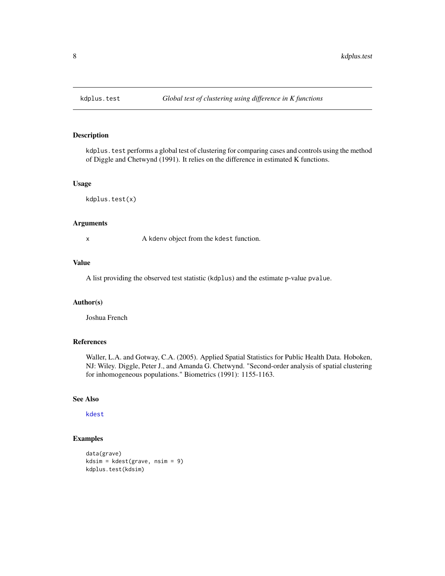<span id="page-7-0"></span>

kdplus. test performs a global test of clustering for comparing cases and controls using the method of Diggle and Chetwynd (1991). It relies on the difference in estimated K functions.

## Usage

kdplus.test(x)

# Arguments

x A kdenv object from the kdest function.

### Value

A list providing the observed test statistic (kdplus) and the estimate p-value pvalue.

#### Author(s)

Joshua French

# References

Waller, L.A. and Gotway, C.A. (2005). Applied Spatial Statistics for Public Health Data. Hoboken, NJ: Wiley. Diggle, Peter J., and Amanda G. Chetwynd. "Second-order analysis of spatial clustering for inhomogeneous populations." Biometrics (1991): 1155-1163.

#### See Also

[kdest](#page-5-1)

```
data(grave)
kdsim = kdest(grave, nsim = 9)
kdplus.test(kdsim)
```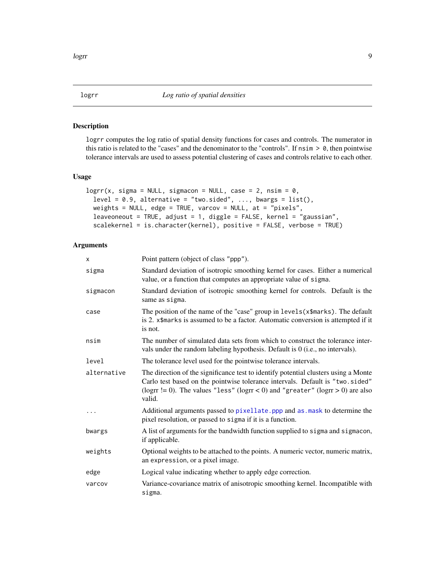<span id="page-8-1"></span><span id="page-8-0"></span>logrr computes the log ratio of spatial density functions for cases and controls. The numerator in this ratio is related to the "cases" and the denominator to the "controls". If  $nsim > 0$ , then pointwise tolerance intervals are used to assess potential clustering of cases and controls relative to each other.

# Usage

```
logrr(x, sigma = NULL, sigmacon = NULL, case = 2, nsim = 0,level = 0.9, alternative = "two.sided", ..., bways = list(),weights = NULL, edge = TRUE, varcov = NULL, at = "pixels",
  leaveoneout = TRUE, adjust = 1, diggle = FALSE, kernel = "gaussian",
  scalekernel = is.character(kernel), positive = FALSE, verbose = TRUE)
```
#### Arguments

| x           | Point pattern (object of class "ppp").                                                                                                                                                                                                                              |
|-------------|---------------------------------------------------------------------------------------------------------------------------------------------------------------------------------------------------------------------------------------------------------------------|
| sigma       | Standard deviation of isotropic smoothing kernel for cases. Either a numerical<br>value, or a function that computes an appropriate value of sigma.                                                                                                                 |
| sigmacon    | Standard deviation of isotropic smoothing kernel for controls. Default is the<br>same as sigma.                                                                                                                                                                     |
| case        | The position of the name of the "case" group in levels (x\$marks). The default<br>is 2. x\$marks is assumed to be a factor. Automatic conversion is attempted if it<br>is not.                                                                                      |
| nsim        | The number of simulated data sets from which to construct the tolerance inter-<br>vals under the random labeling hypothesis. Default is 0 (i.e., no intervals).                                                                                                     |
| level       | The tolerance level used for the pointwise tolerance intervals.                                                                                                                                                                                                     |
| alternative | The direction of the significance test to identify potential clusters using a Monte<br>Carlo test based on the pointwise tolerance intervals. Default is "two.sided"<br>(logrr $!= 0$ ). The values "less" (logrr < 0) and "greater" (logrr > 0) are also<br>valid. |
| .           | Additional arguments passed to pixellate. ppp and as . mask to determine the<br>pixel resolution, or passed to sigma if it is a function.                                                                                                                           |
| bwargs      | A list of arguments for the bandwidth function supplied to sigma and sigmacon,<br>if applicable.                                                                                                                                                                    |
| weights     | Optional weights to be attached to the points. A numeric vector, numeric matrix,<br>an expression, or a pixel image.                                                                                                                                                |
| edge        | Logical value indicating whether to apply edge correction.                                                                                                                                                                                                          |
| varcov      | Variance-covariance matrix of anisotropic smoothing kernel. Incompatible with<br>sigma.                                                                                                                                                                             |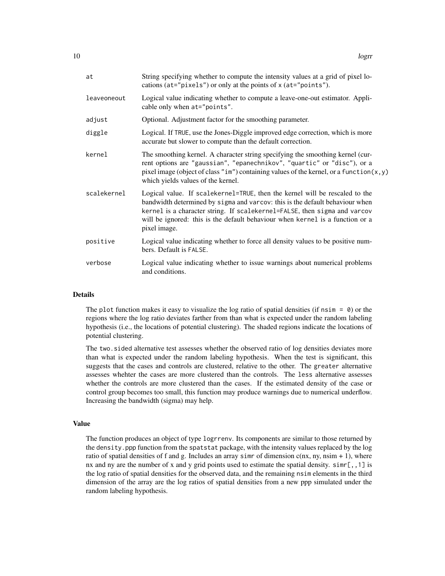| at          | String specifying whether to compute the intensity values at a grid of pixel lo-<br>cations (at="pixels") or only at the points of x (at="points").                                                                                                                                                                                       |
|-------------|-------------------------------------------------------------------------------------------------------------------------------------------------------------------------------------------------------------------------------------------------------------------------------------------------------------------------------------------|
| leaveoneout | Logical value indicating whether to compute a leave-one-out estimator. Appli-<br>cable only when at="points".                                                                                                                                                                                                                             |
| adjust      | Optional. Adjustment factor for the smoothing parameter.                                                                                                                                                                                                                                                                                  |
| diggle      | Logical. If TRUE, use the Jones-Diggle improved edge correction, which is more<br>accurate but slower to compute than the default correction.                                                                                                                                                                                             |
| kernel      | The smoothing kernel. A character string specifying the smoothing kernel (cur-<br>rent options are "gaussian", "epanechnikov", "quartic" or "disc"), or a<br>pixel image (object of class "im") containing values of the kernel, or a function $(x, y)$<br>which yields values of the kernel.                                             |
| scalekernel | Logical value. If scalekernel=TRUE, then the kernel will be rescaled to the<br>bandwidth determined by sigma and varcov: this is the default behaviour when<br>kernel is a character string. If scalekernel=FALSE, then sigma and varcov<br>will be ignored: this is the default behaviour when kernel is a function or a<br>pixel image. |
| positive    | Logical value indicating whether to force all density values to be positive num-<br>bers. Default is FALSE.                                                                                                                                                                                                                               |
| verbose     | Logical value indicating whether to issue warnings about numerical problems<br>and conditions.                                                                                                                                                                                                                                            |
|             |                                                                                                                                                                                                                                                                                                                                           |

#### **Details**

The plot function makes it easy to visualize the log ratio of spatial densities (if nsim  $= 0$ ) or the regions where the log ratio deviates farther from than what is expected under the random labeling hypothesis (i.e., the locations of potential clustering). The shaded regions indicate the locations of potential clustering.

The two.sided alternative test assesses whether the observed ratio of log densities deviates more than what is expected under the random labeling hypothesis. When the test is significant, this suggests that the cases and controls are clustered, relative to the other. The greater alternative assesses whehter the cases are more clustered than the controls. The less alternative assesses whether the controls are more clustered than the cases. If the estimated density of the case or control group becomes too small, this function may produce warnings due to numerical underflow. Increasing the bandwidth (sigma) may help.

#### Value

The function produces an object of type logrrenv. Its components are similar to those returned by the density.ppp function from the spatstat package, with the intensity values replaced by the log ratio of spatial densities of f and g. Includes an array simr of dimension  $c(nx, ny, nsim + 1)$ , where nx and ny are the number of x and y grid points used to estimate the spatial density.  $\sinh[\,,\,1\,]$  is the log ratio of spatial densities for the observed data, and the remaining nsim elements in the third dimension of the array are the log ratios of spatial densities from a new ppp simulated under the random labeling hypothesis.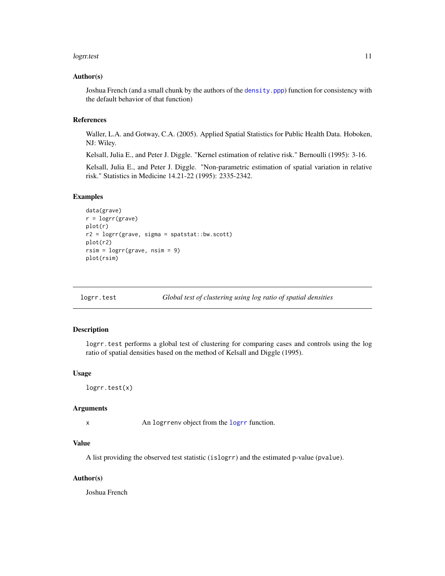#### <span id="page-10-0"></span>logratest to the control of the control of the control of the control of the control of the control of the control of the control of the control of the control of the control of the control of the control of the control of

#### Author(s)

Joshua French (and a small chunk by the authors of the [density.ppp](#page-0-0)) function for consistency with the default behavior of that function)

# References

Waller, L.A. and Gotway, C.A. (2005). Applied Spatial Statistics for Public Health Data. Hoboken, NJ: Wiley.

Kelsall, Julia E., and Peter J. Diggle. "Kernel estimation of relative risk." Bernoulli (1995): 3-16.

Kelsall, Julia E., and Peter J. Diggle. "Non-parametric estimation of spatial variation in relative risk." Statistics in Medicine 14.21-22 (1995): 2335-2342.

## Examples

```
data(grave)
r = logrr(grave)plot(r)
r2 = logrr(grave, sigma = spatstat::bw.scott)
plot(r2)
rsim = logrr(grave, nsim = 9)
plot(rsim)
```
logrr.test *Global test of clustering using log ratio of spatial densities*

# Description

logrr.test performs a global test of clustering for comparing cases and controls using the log ratio of spatial densities based on the method of Kelsall and Diggle (1995).

#### Usage

```
logrr.test(x)
```
#### Arguments

x An logrrenv object from the [logrr](#page-8-1) function.

#### Value

A list providing the observed test statistic (islogrr) and the estimated p-value (pvalue).

#### Author(s)

Joshua French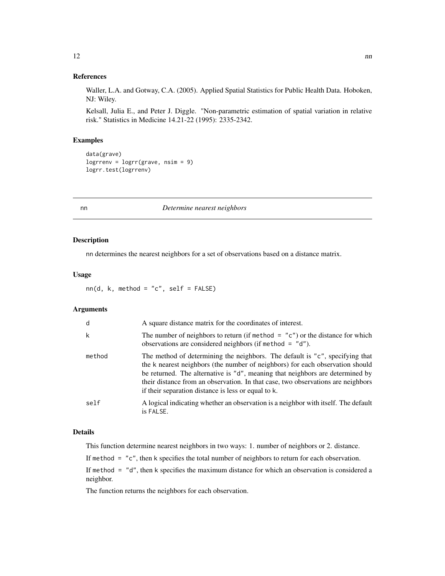#### <span id="page-11-0"></span>References

Waller, L.A. and Gotway, C.A. (2005). Applied Spatial Statistics for Public Health Data. Hoboken, NJ: Wiley.

Kelsall, Julia E., and Peter J. Diggle. "Non-parametric estimation of spatial variation in relative risk." Statistics in Medicine 14.21-22 (1995): 2335-2342.

# Examples

```
data(grave)
logrrenv = logrr(grave, nsim = 9)
logrr.test(logrrenv)
```
nn *Determine nearest neighbors*

# Description

nn determines the nearest neighbors for a set of observations based on a distance matrix.

#### Usage

 $nn(d, k, method = "c", self = FALSE)$ 

#### Arguments

| d      | A square distance matrix for the coordinates of interest.                                                                                                                                                                                                                                                                                                                                 |
|--------|-------------------------------------------------------------------------------------------------------------------------------------------------------------------------------------------------------------------------------------------------------------------------------------------------------------------------------------------------------------------------------------------|
| k      | The number of neighbors to return (if method = $"c"$ ) or the distance for which<br>observations are considered neighbors (if method $=$ "d").                                                                                                                                                                                                                                            |
| method | The method of determining the neighbors. The default is "c", specifying that<br>the k nearest neighbors (the number of neighbors) for each observation should<br>be returned. The alternative is "d", meaning that neighbors are determined by<br>their distance from an observation. In that case, two observations are neighbors<br>if their separation distance is less or equal to k. |
| self   | A logical indicating whether an observation is a neighbor with itself. The default<br>is FALSE.                                                                                                                                                                                                                                                                                           |

# Details

This function determine nearest neighbors in two ways: 1. number of neighbors or 2. distance.

If method = "c", then k specifies the total number of neighbors to return for each observation.

If method = "d", then k specifies the maximum distance for which an observation is considered a neighbor.

The function returns the neighbors for each observation.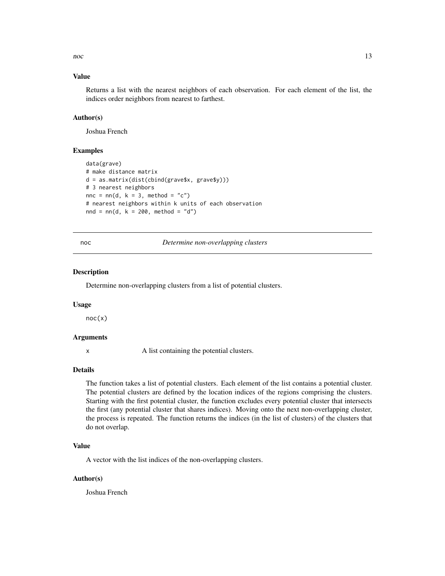<span id="page-12-0"></span> $\Gamma$  13

#### Value

Returns a list with the nearest neighbors of each observation. For each element of the list, the indices order neighbors from nearest to farthest.

## Author(s)

Joshua French

### Examples

```
data(grave)
# make distance matrix
d = as.matrix(dist(cbind(grave$x, grave$y)))
# 3 nearest neighbors
nnc = nn(d, k = 3, method = "c")
# nearest neighbors within k units of each observation
nnd = nn(d, k = 200, method = "d")
```
#### noc *Determine non-overlapping clusters*

#### Description

Determine non-overlapping clusters from a list of potential clusters.

#### Usage

 $noc(x)$ 

#### Arguments

x A list containing the potential clusters.

#### Details

The function takes a list of potential clusters. Each element of the list contains a potential cluster. The potential clusters are defined by the location indices of the regions comprising the clusters. Starting with the first potential cluster, the function excludes every potential cluster that intersects the first (any potential cluster that shares indices). Moving onto the next non-overlapping cluster, the process is repeated. The function returns the indices (in the list of clusters) of the clusters that do not overlap.

# Value

A vector with the list indices of the non-overlapping clusters.

#### Author(s)

Joshua French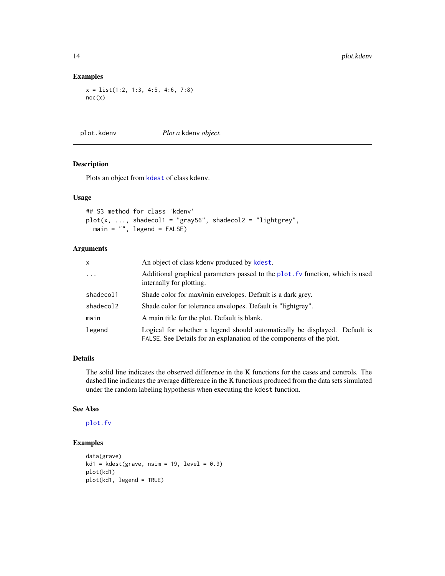# Examples

x = list(1:2, 1:3, 4:5, 4:6, 7:8) noc(x)

plot.kdenv *Plot a* kdenv *object.*

# Description

Plots an object from [kdest](#page-5-1) of class kdenv.

#### Usage

```
## S3 method for class 'kdenv'
plot(x, ..., shaded) = "gray56", shaded) = "lightly",main = "", \text{ legend} = FALSE)
```
# Arguments

| x         | An object of class kdeny produced by kdest.                                                                                                        |
|-----------|----------------------------------------------------------------------------------------------------------------------------------------------------|
| $\cdots$  | Additional graphical parameters passed to the plot. Fv function, which is used<br>internally for plotting.                                         |
| shadecol1 | Shade color for max/min envelopes. Default is a dark grey.                                                                                         |
| shadecol2 | Shade color for tolerance envelopes. Default is "lightgrey".                                                                                       |
| main      | A main title for the plot. Default is blank.                                                                                                       |
| legend    | Logical for whether a legend should automatically be displayed. Default is<br>FALSE. See Details for an explanation of the components of the plot. |

# Details

The solid line indicates the observed difference in the K functions for the cases and controls. The dashed line indicates the average difference in the K functions produced from the data sets simulated under the random labeling hypothesis when executing the kdest function.

#### See Also

[plot.fv](#page-0-0)

```
data(grave)
kd1 = kdest(grave, nsim = 19, level = 0.9)plot(kd1)
plot(kd1, legend = TRUE)
```
<span id="page-13-0"></span>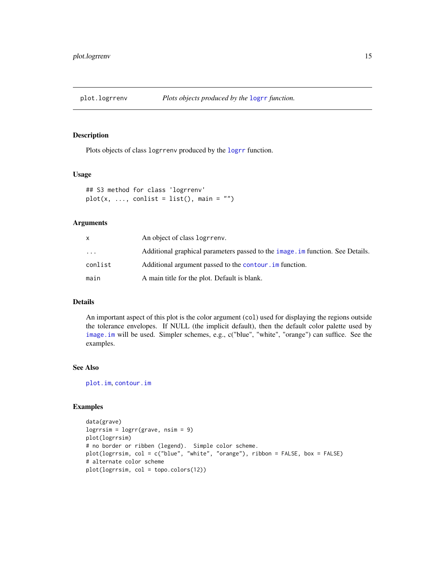<span id="page-14-0"></span>

Plots objects of class logrrenv produced by the [logrr](#page-8-1) function.

#### Usage

```
## S3 method for class 'logrrenv'
plot(x, ..., conlist = list(), main = "")
```
#### Arguments

|           | An object of class logrreny.                                                  |
|-----------|-------------------------------------------------------------------------------|
| $\ddotsc$ | Additional graphical parameters passed to the image im function. See Details. |
| conlist   | Additional argument passed to the contour. in function.                       |
| main      | A main title for the plot. Default is blank.                                  |

# Details

An important aspect of this plot is the color argument (col) used for displaying the regions outside the tolerance envelopes. If NULL (the implicit default), then the default color palette used by [image.im](#page-0-0) will be used. Simpler schemes, e.g., c("blue", "white", "orange") can suffice. See the examples.

# See Also

[plot.im](#page-0-0), [contour.im](#page-0-0)

```
data(grave)
logrrsim = logrr(grave, nsim = 9)
plot(logrrsim)
# no border or ribben (legend). Simple color scheme.
plot(logrrsim, col = c("blue", "white", "orange"), ribbon = FALSE, box = FALSE)
# alternate color scheme
plot(logrrsim, col = topo.colors(12))
```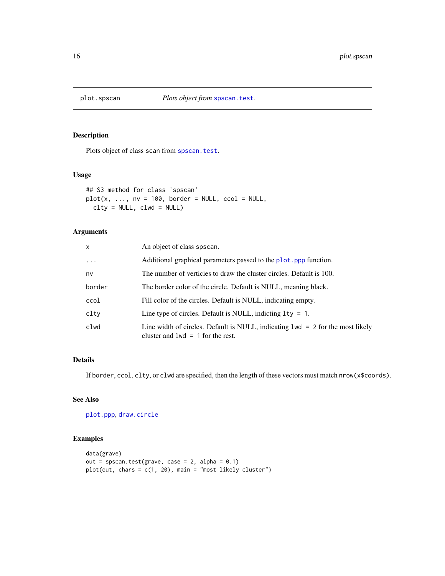<span id="page-15-0"></span>

Plots object of class scan from [spscan.test](#page-18-1).

#### Usage

```
## S3 method for class 'spscan'
plot(x, ..., nv = 100, border = NULL, ccol = NULL,clty = NULL, clwd = NULL)
```
# Arguments

| X        | An object of class spscan.                                                                                              |
|----------|-------------------------------------------------------------------------------------------------------------------------|
| $\ddots$ | Additional graphical parameters passed to the plot. ppp function.                                                       |
| nv       | The number of verticies to draw the cluster circles. Default is 100.                                                    |
| border   | The border color of the circle. Default is NULL, meaning black.                                                         |
| ccol     | Fill color of the circles. Default is NULL, indicating empty.                                                           |
| clty     | Line type of circles. Default is NULL, indicting $1ty = 1$ .                                                            |
| clwd     | Line width of circles. Default is NULL, indicating $1wd = 2$ for the most likely<br>cluster and $1wd = 1$ for the rest. |

# Details

If border, ccol, clty, or clwd are specified, then the length of these vectors must match nrow(x\$coords).

#### See Also

[plot.ppp](#page-0-0), [draw.circle](#page-0-0)

```
data(grave)
out = spscan.test(grave, case = 2, alpha = 0.1)
plot(out, chars = c(1, 20), main = "most likely cluster")
```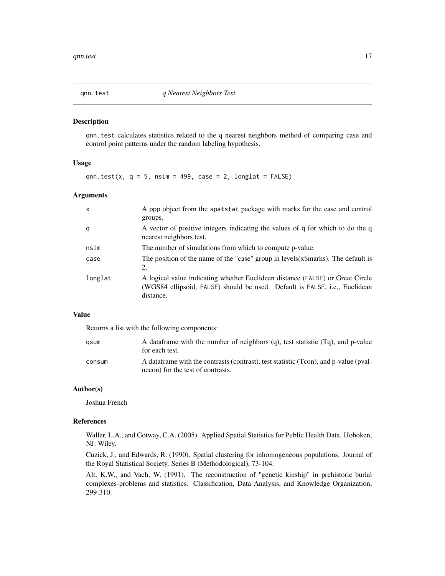<span id="page-16-0"></span>

qnn.test calculates statistics related to the q nearest neighbors method of comparing case and control point patterns under the random labeling hypothesis.

#### Usage

qnn.test(x,  $q = 5$ , nsim = 499, case = 2, longlat = FALSE)

#### **Arguments**

| $\mathsf{x}$ | A ppp object from the spatstat package with marks for the case and control<br>groups.                                                                                    |
|--------------|--------------------------------------------------------------------------------------------------------------------------------------------------------------------------|
| q            | A vector of positive integers indicating the values of q for which to do the q<br>nearest neighbors test.                                                                |
| nsim         | The number of simulations from which to compute p-value.                                                                                                                 |
| case         | The position of the name of the "case" group in levels (x\$marks). The default is<br>2.                                                                                  |
| longlat      | A logical value indicating whether Euclidean distance (FALSE) or Great Circle<br>(WGS84 ellipsoid, FALSE) should be used. Default is FALSE, i.e., Euclidean<br>distance. |

#### Value

Returns a list with the following components:

| qsum   | A dataframe with the number of neighbors (q), test statistic (Tq), and p-value<br>for each test.                          |
|--------|---------------------------------------------------------------------------------------------------------------------------|
| consum | A dataframe with the contrasts (contrast), test statistic (Tcon), and p-value (pval-<br>uecon) for the test of contrasts. |

# Author(s)

Joshua French

# References

Waller, L.A., and Gotway, C.A. (2005). Applied Spatial Statistics for Public Health Data. Hoboken, NJ: Wiley.

Cuzick, J., and Edwards, R. (1990). Spatial clustering for inhomogeneous populations. Journal of the Royal Statistical Society. Series B (Methodological), 73-104.

Alt, K.W., and Vach, W. (1991). The reconstruction of "genetic kinship" in prehistoric burial complexes-problems and statistics. Classification, Data Analysis, and Knowledge Organization, 299-310.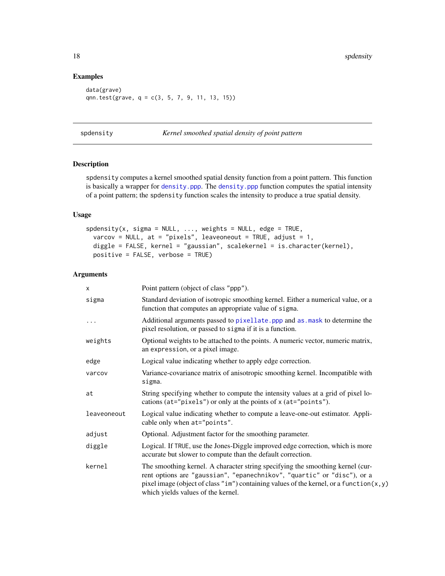# Examples

```
data(grave)
qnn.test(grave, q = c(3, 5, 7, 9, 11, 13, 15))
```
spdensity *Kernel smoothed spatial density of point pattern*

# Description

spdensity computes a kernel smoothed spatial density function from a point pattern. This function is basically a wrapper for [density.ppp](#page-0-0). The [density.ppp](#page-0-0) function computes the spatial intensity of a point pattern; the spdensity function scales the intensity to produce a true spatial density.

#### Usage

```
spdensity(x, sigma = NULL, ..., weights = NULL, edge = TRUE,
 varcov = NULL, at = "pixels", leaveoneout = TRUE, adjust = 1,
 diggle = FALSE, kernel = "gaussian", scalekernel = is.character(kernel),
 positive = FALSE, verbose = TRUE)
```
#### Arguments

| X           | Point pattern (object of class "ppp").                                                                                                                                                                                                                                                        |
|-------------|-----------------------------------------------------------------------------------------------------------------------------------------------------------------------------------------------------------------------------------------------------------------------------------------------|
| sigma       | Standard deviation of isotropic smoothing kernel. Either a numerical value, or a<br>function that computes an appropriate value of sigma.                                                                                                                                                     |
| $\cdots$    | Additional arguments passed to pixellate. ppp and as mask to determine the<br>pixel resolution, or passed to sigma if it is a function.                                                                                                                                                       |
| weights     | Optional weights to be attached to the points. A numeric vector, numeric matrix,<br>an expression, or a pixel image.                                                                                                                                                                          |
| edge        | Logical value indicating whether to apply edge correction.                                                                                                                                                                                                                                    |
| varcov      | Variance-covariance matrix of anisotropic smoothing kernel. Incompatible with<br>sigma.                                                                                                                                                                                                       |
| at          | String specifying whether to compute the intensity values at a grid of pixel lo-<br>cations (at="pixels") or only at the points of x (at="points").                                                                                                                                           |
| leaveoneout | Logical value indicating whether to compute a leave-one-out estimator. Appli-<br>cable only when at="points".                                                                                                                                                                                 |
| adjust      | Optional. Adjustment factor for the smoothing parameter.                                                                                                                                                                                                                                      |
| diggle      | Logical. If TRUE, use the Jones-Diggle improved edge correction, which is more<br>accurate but slower to compute than the default correction.                                                                                                                                                 |
| kernel      | The smoothing kernel. A character string specifying the smoothing kernel (cur-<br>rent options are "gaussian", "epanechnikov", "quartic" or "disc"), or a<br>pixel image (object of class "im") containing values of the kernel, or a function $(x, y)$<br>which yields values of the kernel. |

<span id="page-17-0"></span>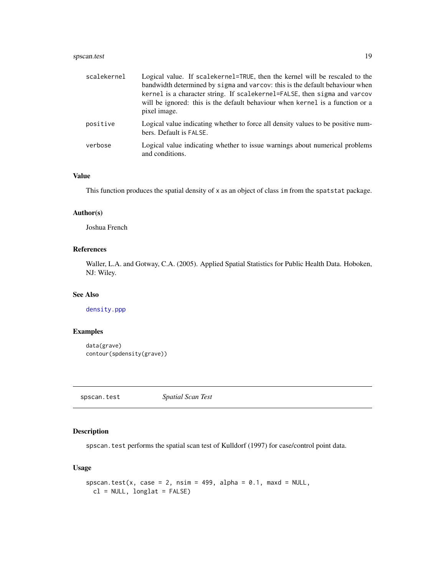# <span id="page-18-0"></span>spscan.test 19

| scalekernel | Logical value. If scalekernel=TRUE, then the kernel will be rescaled to the<br>bandwidth determined by sigma and varcov: this is the default behaviour when<br>kernel is a character string. If scalekernel=FALSE, then sigma and varcov<br>will be ignored: this is the default behaviour when kernel is a function or a<br>pixel image. |
|-------------|-------------------------------------------------------------------------------------------------------------------------------------------------------------------------------------------------------------------------------------------------------------------------------------------------------------------------------------------|
| positive    | Logical value indicating whether to force all density values to be positive num-<br>bers. Default is FALSE.                                                                                                                                                                                                                               |
| verbose     | Logical value indicating whether to issue warnings about numerical problems<br>and conditions.                                                                                                                                                                                                                                            |

# Value

This function produces the spatial density of x as an object of class im from the spatstat package.

# Author(s)

Joshua French

# References

Waller, L.A. and Gotway, C.A. (2005). Applied Spatial Statistics for Public Health Data. Hoboken, NJ: Wiley.

# See Also

[density.ppp](#page-0-0)

# Examples

```
data(grave)
contour(spdensity(grave))
```
<span id="page-18-1"></span>spscan.test *Spatial Scan Test*

# Description

spscan.test performs the spatial scan test of Kulldorf (1997) for case/control point data.

# Usage

```
spscan.test(x, case = 2, nsim = 499, alpha = 0.1, maxd = NULL,
 cl = NULL, longlat = FALSE)
```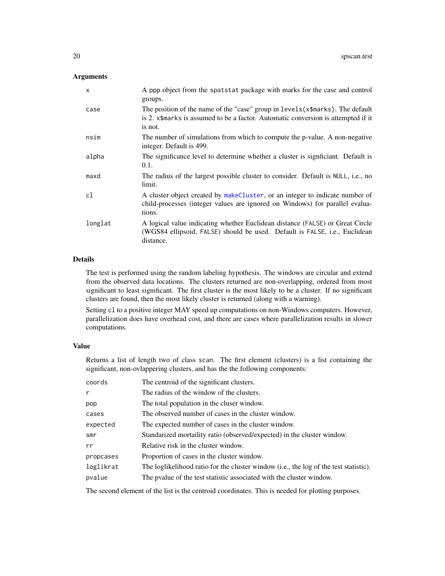# <span id="page-19-0"></span>Arguments

| $\mathsf{x}$ | A ppp object from the spatstat package with marks for the case and control<br>groups.                                                                                            |
|--------------|----------------------------------------------------------------------------------------------------------------------------------------------------------------------------------|
| case         | The position of the name of the "case" group in $levels(x\$ —sarks). The default<br>is 2. x\$marks is assumed to be a factor. Automatic conversion is attempted if it<br>is not. |
| nsim         | The number of simulations from which to compute the p-value. A non-negative<br>integer. Default is 499.                                                                          |
| alpha        | The significance level to determine whether a cluster is significant. Default is<br>0.1.                                                                                         |
| maxd         | The radius of the largest possible cluster to consider. Default is NULL, i.e., no<br>limit.                                                                                      |
| cl           | A cluster object created by make Cluster, or an integer to indicate number of<br>child-processes (integer values are ignored on Windows) for parallel evalua-<br>tions.          |
| longlat      | A logical value indicating whether Euclidean distance (FALSE) or Great Circle<br>(WGS84 ellipsoid, FALSE) should be used. Default is FALSE, i.e., Euclidean<br>distance.         |

#### Details

The test is performed using the random labeling hypothesis. The windows are circular and extend from the observed data locations. The clusters returned are non-overlapping, ordered from most significant to least significant. The first cluster is the most likely to be a cluster. If no significant clusters are found, then the most likely cluster is returned (along with a warning).

Setting cl to a positive integer MAY speed up computations on non-Windows computers. However, parallelization does have overhead cost, and there are cases where parallelization results in slower computations.

#### Value

Returns a list of length two of class scan. The first element (clusters) is a list containing the significant, non-ovlappering clusters, and has the the following components:

| coords    | The centroid of the significant clusters.                                             |
|-----------|---------------------------------------------------------------------------------------|
| r         | The radius of the window of the clusters.                                             |
| pop       | The total population in the cluser window.                                            |
| cases     | The observed number of cases in the cluster window.                                   |
| expected  | The expected number of cases in the cluster window.                                   |
| smr       | Standarized mortaility ratio (observed/expected) in the cluster window.               |
| rr        | Relative risk in the cluster window.                                                  |
| propcases | Proportion of cases in the cluster window.                                            |
| loglikrat | The loglikelihood ratio for the cluster window (i.e., the log of the test statistic). |
| pvalue    | The pyalue of the test statistic associated with the cluster window.                  |
|           |                                                                                       |

The second element of the list is the centroid coordinates. This is needed for plotting purposes.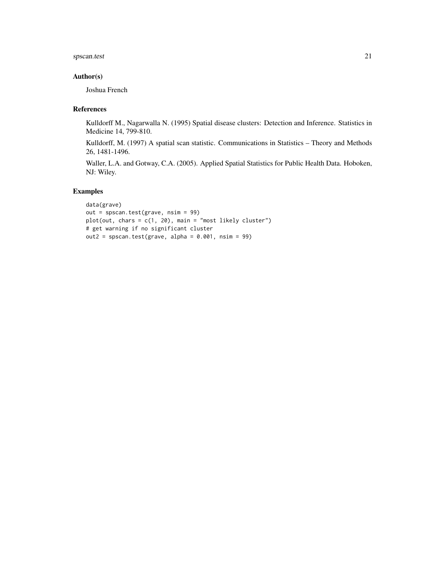# spscan.test 21

# Author(s)

Joshua French

# References

Kulldorff M., Nagarwalla N. (1995) Spatial disease clusters: Detection and Inference. Statistics in Medicine 14, 799-810.

Kulldorff, M. (1997) A spatial scan statistic. Communications in Statistics – Theory and Methods 26, 1481-1496.

Waller, L.A. and Gotway, C.A. (2005). Applied Spatial Statistics for Public Health Data. Hoboken, NJ: Wiley.

```
data(grave)
out = spscan.test(grave, nsim = 99)
plot(out, chars = c(1, 20), main = "most likely cluster")# get warning if no significant cluster
out2 = spscan.test(grave, alpha = 0.001, nsim = 99)
```